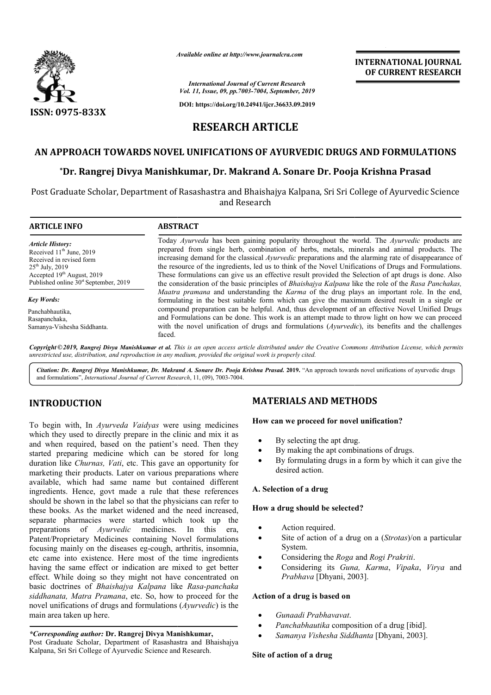

*Available online at http://www.journalcra.com*

*International Journal of Current Research Vol. 11, Issue, 09, pp.7003-7004, September, 2019*

**DOI: https://doi.org/10.24941/ijcr.36633.09.2019**

## **INTERNATIONAL JOURNAL OF CURRENT RESEARCH**

# **RESEARCH ARTICLE**

## **AN APPROACH TOWARDS NOVEL UNIFICATIONS OF AYURVEDIC DRUGS AND FORMULATIONS**

## **\*Dr. Rangrej Divya Manishkumar, Dr. Makrand A. Sonare Dr. Pooja Krishna Dr. Dr. Rangrej Dr. Makrand A. Sonare Prasad**

Post Graduate Scholar, Department of Rasashastra and Bhaishajya Kalpana, Sri Sri College of Ayurvedic Science Graduate Scholar, Department of and Research

| <b>ARTICLE INFO</b>                                                                                                                                           | <b>ABSTRACT</b>                                                                                                                                                                                                                                                                                                                                                                                                                                                                                                           |
|---------------------------------------------------------------------------------------------------------------------------------------------------------------|---------------------------------------------------------------------------------------------------------------------------------------------------------------------------------------------------------------------------------------------------------------------------------------------------------------------------------------------------------------------------------------------------------------------------------------------------------------------------------------------------------------------------|
| <b>Article History:</b><br>Received 11 <sup>th</sup> June, 2019<br>Received in revised form<br>$25^{th}$ July, 2019<br>Accepted 19 <sup>th</sup> August, 2019 | Today Ayurveda has been gaining popularity throughout the world. The Ayurvedic products are<br>prepared from single herb, combination of herbs, metals, minerals and animal products. The<br>increasing demand for the classical <i>Ayurvedic</i> preparations and the alarming rate of disappearance of<br>the resource of the ingredients, led us to think of the Novel Unifications of Drugs and Formulations.<br>These formulations can give us an effective result provided the Selection of apt drugs is done. Also |
| Published online 30 <sup>st</sup> September, 2019                                                                                                             | the consideration of the basic principles of <i>Bhaishajya Kalpana</i> like the role of the <i>Rasa Panchakas</i> ,                                                                                                                                                                                                                                                                                                                                                                                                       |
| <b>Key Words:</b>                                                                                                                                             | Maatra pramana and understanding the Karma of the drug plays an important role. In the end,<br>formulating in the best suitable form which can give the maximum desired result in a single or                                                                                                                                                                                                                                                                                                                             |
| Panchabhautika.<br>Rasapanchaka,<br>Samanya-Vishesha Siddhanta.                                                                                               | compound preparation can be helpful. And, thus development of an effective Novel Unified Drugs<br>and Formulations can be done. This work is an attempt made to throw light on how we can proceed<br>with the novel unification of drugs and formulations (Ayurvedic), its benefits and the challenges<br>faced.                                                                                                                                                                                                          |

Copyright © 2019, Rangrej Divya Manishkumar et al. This is an open access article distributed under the Creative Commons Attribution License, which permits *unrestricted use, distribution, and reproduction in any medium, provided the original work is properly cited.*

Citation: Dr. Rangrej Divya Manishkumar, Dr. Makrand A. Sonare Dr. Pooja Krishna Prasad. 2019. "An approach towards novel unifications of ayurvedic drugs and formulations", *International Journal of Current Research* , 11, (09), 7003-7004.

### **INTRODUCTION**

To begin with, In *Ayurveda Vaidyas* were using medicines which they used to directly prepare in the clinic and mix it as and when required, based on the patient's need. Then they started preparing medicine which can be stored for long duration like *Churnas, Vati*, etc. This gave an opportunity for marketing their products. Later on various preparations where available, which had same name but contained different ingredients. Hence, govt made a rule that these references should be shown in the label so that the physicians can refer to these books. As the market widened and the need increased, separate pharmacies were started which took up the preparations of *Ayurvedic* medicines. In this era, Patent/Proprietary Medicines containing Novel formulations focusing mainly on the diseases eg-cough, arthritis, insomnia, etc came into existence. Here most of the time ingredients having the same effect or indication are mixed to get better effect. While doing so they might not have concentrated on basic doctrines of *Bhaishajya Kalpana* like *Rasa-panchaka siddhanata, Matra Pramana*, etc. So, how to proceed for the novel unifications of drugs and formulations ( *Ayurvedic*) is the main area taken up here. oks. As the market widened and the need increased,<br>pharmacies were started which took up the<br>ions of *Ayurvedic* medicines. In this era,

#### *\*Corresponding author:* **Dr. Rangrej Divya Manishkumar Manishkumar,** Post Graduate Scholar, Department of Rasashastra and Bhaishajya Kalpana, Sri Sri College of Ayurvedic Science and Research Research.

### **MATERIALS AND METHODS METHODS**

#### **How can we proceed for novel unification?**

- By selecting the apt drug.
- By making the apt combinations of drugs.
- By making the apt combinations of drugs.<br>• By formulating drugs in a form by which it can give the desired action.

#### **A. Selection of a drug**

#### **How a drug should be selected?**

- Action required.
- Site of action of a drug on a (*Strotas*)/on a particular System.
- Considering the *Roga* and *Rogi Prakriti*.
- Considering its *Guna, Karma*, *Vipaka*, *Virya* and Prabhava [Dhyani, 2003].

#### **Action of a drug is based on**

- *Gunaadi Prabhavavat*.
- Panchabhautika composition of a drug [ibid].
- *Samanya Vishesha Siddhanta* [Dhyani, 2003].

### **Site of action of a drug**